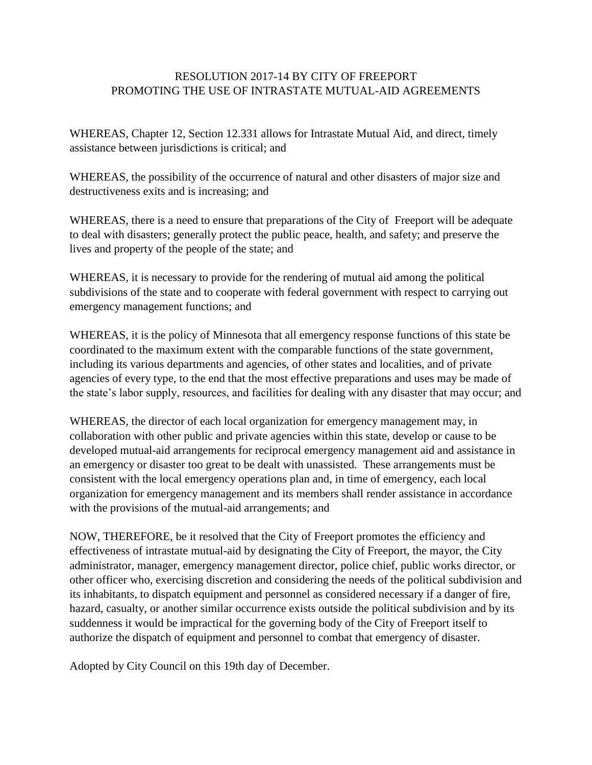## RESOLUTION 2017-14 BY CITY OF FREEPORT PROMOTING THE USE OF INTRASTATE MUTUAL-AID AGREEMENTS

WHEREAS, Chapter 12, Section 12.331 allows for Intrastate Mutual Aid, and direct, timely assistance between jurisdictions is critical; and

WHEREAS, the possibility of the occurrence of natural and other disasters of major size and destructiveness exits and is increasing; and

WHEREAS, there is a need to ensure that preparations of the City of Freeport will be adequate to deal with disasters; generally protect the public peace, health, and safety; and preserve the lives and property of the people of the state; and

WHEREAS, it is necessary to provide for the rendering of mutual aid among the political subdivisions of the state and to cooperate with federal government with respect to carrying out emergency management functions; and

WHEREAS, it is the policy of Minnesota that all emergency response functions of this state be coordinated to the maximum extent with the comparable functions of the state government, including its various departments and agencies, of other states and localities, and of private agencies of every type, to the end that the most effective preparations and uses may be made of the state's labor supply, resources, and facilities for dealing with any disaster that may occur; and

WHEREAS, the director of each local organization for emergency management may, in collaboration with other public and private agencies within this state, develop or cause to be developed mutual-aid arrangements for reciprocal emergency management aid and assistance in an emergency or disaster too great to be dealt with unassisted. These arrangements must be consistent with the local emergency operations plan and, in time of emergency, each local organization for emergency management and its members shall render assistance in accordance with the provisions of the mutual-aid arrangements; and

NOW, THEREFORE, be it resolved that the City of Freeport promotes the efficiency and effectiveness of intrastate mutual-aid by designating the City of Freeport, the mayor, the City administrator, manager, emergency management director, police chief, public works director, or other officer who, exercising discretion and considering the needs of the political subdivision and its inhabitants, to dispatch equipment and personnel as considered necessary if a danger of fire, hazard, casualty, or another similar occurrence exists outside the political subdivision and by its suddenness it would be impractical for the governing body of the City of Freeport itself to authorize the dispatch of equipment and personnel to combat that emergency of disaster.

Adopted by City Council on this 19th day of December.